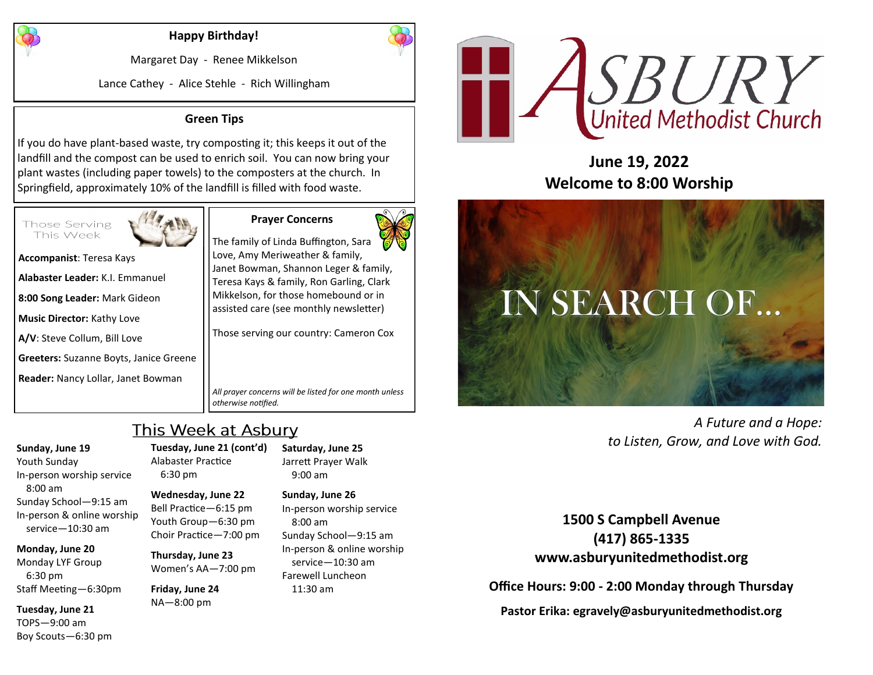

#### **Happy Birthday!**

Margaret Day - Renee Mikkelson

Lance Cathey - Alice Stehle - Rich Willingham

#### **Green Tips**

If you do have plant-based waste, try composting it; this keeps it out of the landfill and the compost can be used to enrich soil. You can now bring your plant wastes (including paper towels) to the composters at the church. In Springfield, approximately 10% of the landfill is filled with food waste.



**Prayer Concerns**



**Accompanist**: Teresa Kays

**Alabaster Leader:** K.I. Emmanuel

**8:00 Song Leader:** Mark Gideon

**Music Director:** Kathy Love

**A/V**: Steve Collum, Bill Love

**Greeters:** Suzanne Boyts, Janice Greene

**Reader:** Nancy Lollar, Janet Bowman

The family of Linda Buffington, Sara Love, Amy Meriweather & family, Janet Bowman, Shannon Leger & family, Teresa Kays & family, Ron Garling, Clark Mikkelson, for those homebound or in assisted care (see monthly newsletter)

Those serving our country: Cameron Cox

*All prayer concerns will be listed for one month unless otherwise notified.*

# This Week at Asbury

#### **Sunday, June 19**

Youth Sunday In-person worship service 8:00 am Sunday School—9:15 am In-person & online worship service—10:30 am

#### **Monday, June 20**

Monday LYF Group 6:30 pm Staff Meeting—6:30pm

**Tuesday, June 21** TOPS—9:00 am Boy Scouts—6:30 pm **Tuesday, June 21 (cont'd)** Alabaster Practice 6:30 pm

#### **Wednesday, June 22** Bell Practice—6:15 pm

Youth Group—6:30 pm Choir Practice—7:00 pm

**Thursday, June 23** Women's AA—7:00 pm

**Friday, June 24** NA—8:00 pm

**Saturday, June 25** Jarrett Prayer Walk 9:00 am **Sunday, June 26**

In-person worship service 8:00 am Sunday School—9:15 am In-person & online worship service—10:30 am Farewell Luncheon 11:30 am



# **June 19, 2022 Welcome to 8:00 Worship**



*A Future and a Hope: to Listen, Grow, and Love with God.*

**1500 S Campbell Avenue (417) 865-1335 www.asburyunitedmethodist.org**

**Office Hours: 9:00 - 2:00 Monday through Thursday**

**Pastor Erika: egravely@asburyunitedmethodist.org**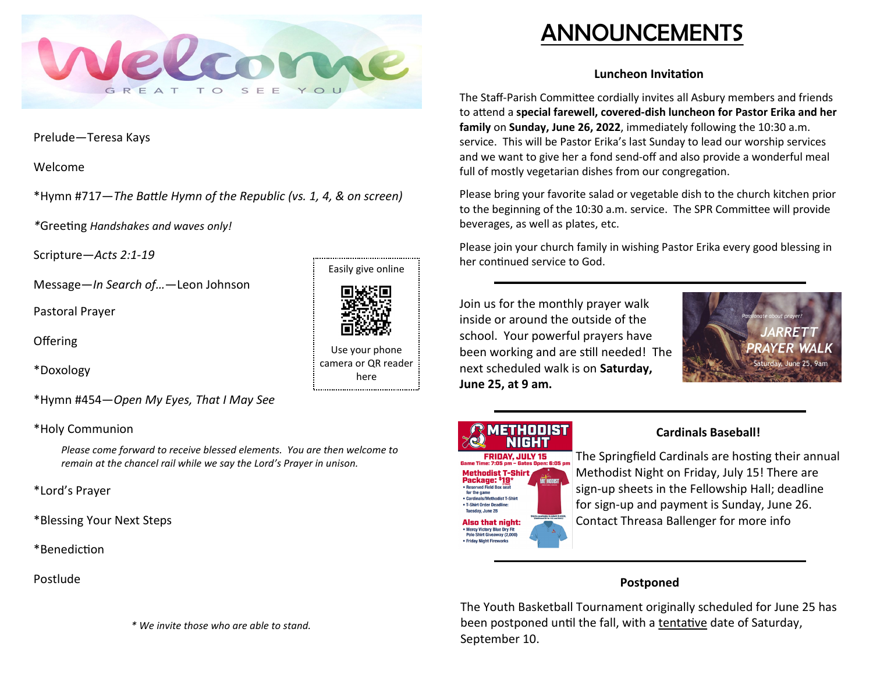

Prelude—Teresa Kays

Welcome

\*Hymn #717—*The Battle Hymn of the Republic (vs. 1, 4, & on screen)*

*\**Greeting *Handshakes and waves only!*

Scripture—*Acts 2:1-19*

Message—*In Search of…*—Leon Johnson

Pastoral Prayer

**Offering** 

\*Doxology

\*Hymn #454—*Open My Eyes, That I May See*

\*Holy Communion

*Please come forward to receive blessed elements. You are then welcome to remain at the chancel rail while we say the Lord's Prayer in unison.*

\*Lord's Prayer

\*Blessing Your Next Steps

\*Benediction

Postlude

*\* We invite those who are able to stand.*

# Easily give online

Use your phone camera or QR reader here

# ANNOUNCEMENTS

## **Luncheon Invitation**

The Staff-Parish Committee cordially invites all Asbury members and friends to attend a **special farewell, covered-dish luncheon for Pastor Erika and her family** on **Sunday, June 26, 2022**, immediately following the 10:30 a.m. service. This will be Pastor Erika's last Sunday to lead our worship services and we want to give her a fond send-off and also provide a wonderful meal full of mostly vegetarian dishes from our congregation.

Please bring your favorite salad or vegetable dish to the church kitchen prior to the beginning of the 10:30 a.m. service. The SPR Committee will provide beverages, as well as plates, etc.

Please join your church family in wishing Pastor Erika every good blessing in her continued service to God.

Join us for the monthly prayer walk inside or around the outside of the school. Your powerful prayers have been working and are still needed! The next scheduled walk is on **Saturday, June 25, at 9 am.**



# THOOIST NIGHT

**FRIDAY, JULY 15 Methodist T-Shirt** Package: \$19 · Reserved Field Box s for the game • Cardinals/Methodist T-Shirt • T-Shirt Order Deadline: Tuesday, June 28 Also that night: • Mercy Victory Blue Dry Fit<br>Polo Shirt Giveaway (2,000 • Friday Night Fireworks

# **Cardinals Baseball!**

The Springfield Cardinals are hosting their annual Methodist Night on Friday, July 15! There are sign-up sheets in the Fellowship Hall; deadline for sign-up and payment is Sunday, June 26. Contact Threasa Ballenger for more info

# **Postponed**

The Youth Basketball Tournament originally scheduled for June 25 has been postponed until the fall, with a tentative date of Saturday, September 10.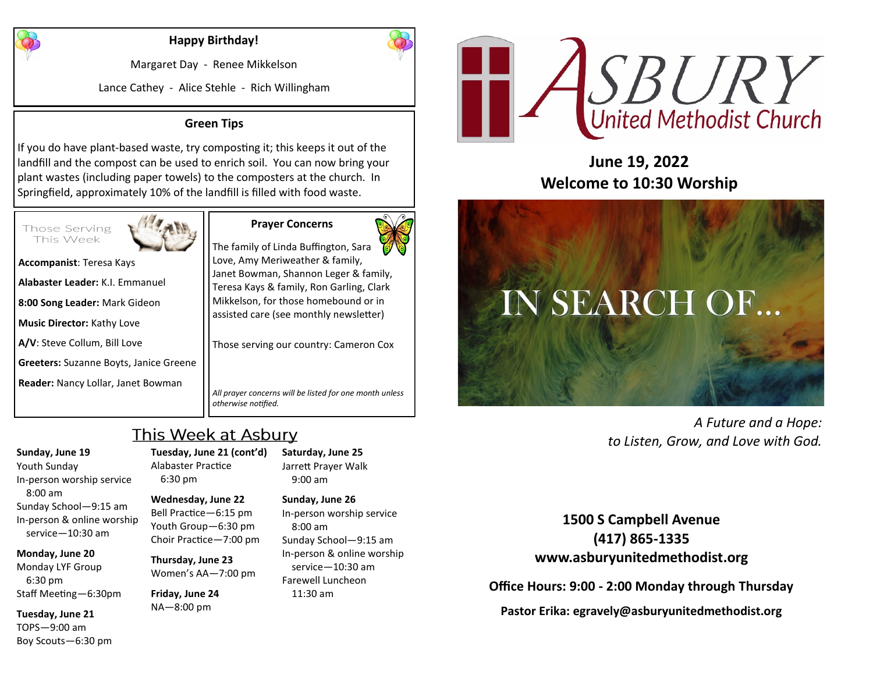

### **Happy Birthday!**

Margaret Day - Renee Mikkelson

Lance Cathey - Alice Stehle - Rich Willingham

#### **Green Tips**

If you do have plant-based waste, try composting it; this keeps it out of the landfill and the compost can be used to enrich soil. You can now bring your plant wastes (including paper towels) to the composters at the church. In Springfield, approximately 10% of the landfill is filled with food waste.



**Accompanist**: Teresa Kays **Alabaster Leader:** K.I. Emmanuel **8:00 Song Leader:** Mark Gideon

**Music Director:** Kathy Love

**A/V**: Steve Collum, Bill Love

**Greeters:** Suzanne Boyts, Janice Greene

**Reader:** Nancy Lollar, Janet Bowman

**Prayer Concerns** The family of Linda Buffington, Sara

Love, Amy Meriweather & family, Janet Bowman, Shannon Leger & family, Teresa Kays & family, Ron Garling, Clark Mikkelson, for those homebound or in assisted care (see monthly newsletter)

Those serving our country: Cameron Cox

*All prayer concerns will be listed for one month unless otherwise notified.*

# This Week at Asbury

**Sunday, June 19** In-person worship service

8:00 am Sunday School—9:15 am In-person & online worship service—10:30 am

#### **Monday, June 20**

Youth Sunday

Monday LYF Group 6:30 pm Staff Meeting—6:30pm

**Tuesday, June 21** TOPS—9:00 am Boy Scouts—6:30 pm **Tuesday, June 21 (cont'd)** Alabaster Practice 6:30 pm

**Wednesday, June 22** Bell Practice—6:15 pm Youth Group—6:30 pm Choir Practice—7:00 pm

**Thursday, June 23** Women's AA—7:00 pm

**Friday, June 24** NA—8:00 pm

**Saturday, June 25** Jarrett Prayer Walk 9:00 am

**Sunday, June 26** In-person worship service 8:00 am Sunday School—9:15 am In-person & online worship service—10:30 am Farewell Luncheon 11:30 am



**June 19, 2022 Welcome to 10:30 Worship**



*A Future and a Hope: to Listen, Grow, and Love with God.*

**1500 S Campbell Avenue (417) 865-1335 www.asburyunitedmethodist.org**

**Office Hours: 9:00 - 2:00 Monday through Thursday**

**Pastor Erika: egravely@asburyunitedmethodist.org**